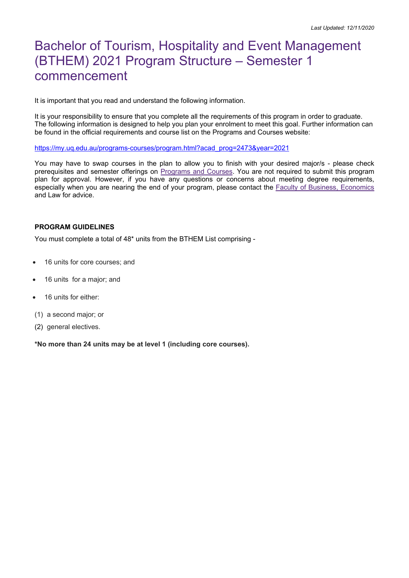# Bachelor of Tourism, Hospitality and Event Management (BTHEM) 2021 Program Structure – Semester 1 commencement

It is important that you read and understand the following information.

It is your responsibility to ensure that you complete all the requirements of this program in order to graduate. The following information is designed to help you plan your enrolment to meet this goal. Further information can be found in the official requirements and course list on the Programs and Courses website:

[https://my.uq.edu.au/programs-courses/program.html?acad\\_prog=2473&year=2021](https://my.uq.edu.au/programs-courses/program.html?acad_prog=2473&year=2021)

You may have to swap courses in the plan to allow you to finish with your desired major/s - please check prerequisites and semester offerings on [Programs and Courses.](https://my.uq.edu.au/programs-courses/) You are not required to submit this program plan for approval. However, if you have any questions or concerns about meeting degree requirements, especially when you are nearing the end of your program, please contact the [Faculty of Business, Economics](https://bel.uq.edu.au/bel-student-centre) and Law for advice.

#### **PROGRAM GUIDELINES**

You must complete a total of 48\* units from the BTHEM List comprising -

- 16 units for core courses; and
- 16 units for a major; and
- 16 units for either:
- (1) a second major; or
- (2) general electives.

**\*No more than 24 units may be at level 1 (including core courses).**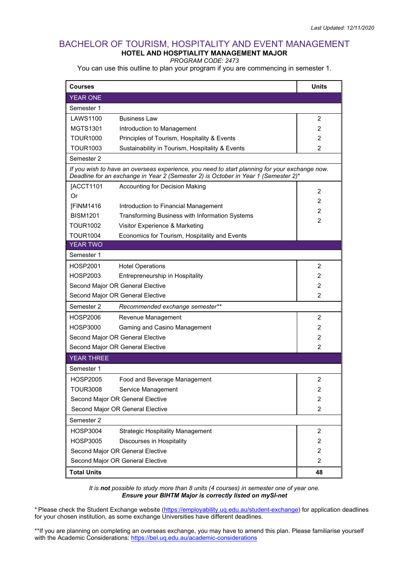### BACHELOR OF TOURISM, HOSPITALITY AND EVENT MANAGEMENT **HOTEL AND HOSPTIALITY MANAGEMENT MAJOR**

*PROGRAM CODE: 2473*

You can use this outline to plan your program if you are commencing in semester 1.

| <b>Courses</b>                                                                                                                                                                      |                                                 | <b>Units</b>   |  |
|-------------------------------------------------------------------------------------------------------------------------------------------------------------------------------------|-------------------------------------------------|----------------|--|
| <b>YEAR ONE</b>                                                                                                                                                                     |                                                 |                |  |
| Semester 1                                                                                                                                                                          |                                                 |                |  |
| LAWS1100                                                                                                                                                                            | <b>Business Law</b>                             | 2              |  |
| <b>MGTS1301</b>                                                                                                                                                                     | Introduction to Management                      | $\overline{2}$ |  |
| TOUR1000                                                                                                                                                                            | Principles of Tourism, Hospitality & Events     | $\overline{2}$ |  |
| TOUR1003                                                                                                                                                                            | Sustainability in Tourism, Hospitality & Events | 2              |  |
| Semester 2                                                                                                                                                                          |                                                 |                |  |
| If you wish to have an overseas experience, you need to start planning for your exchange now.<br>Deadline for an exchange in Year 2 (Semester 2) is October in Year 1 (Semester 2)* |                                                 |                |  |
| [ACCT1101                                                                                                                                                                           | Accounting for Decision Making                  | 2              |  |
| Or                                                                                                                                                                                  |                                                 | $\overline{2}$ |  |
| [FINM1416]                                                                                                                                                                          | Introduction to Financial Management            | 2              |  |
| <b>BISM1201</b>                                                                                                                                                                     | Transforming Business with Information Systems  |                |  |
| <b>TOUR1002</b>                                                                                                                                                                     | Visitor Experience & Marketing                  | 2              |  |
| <b>TOUR1004</b>                                                                                                                                                                     | Economics for Tourism, Hospitality and Events   |                |  |
| <b>YEAR TWO</b>                                                                                                                                                                     |                                                 |                |  |
| Semester 1                                                                                                                                                                          |                                                 |                |  |
| HOSP2001                                                                                                                                                                            | <b>Hotel Operations</b>                         | 2              |  |
| HOSP2003                                                                                                                                                                            | Entrepreneurship in Hospitality                 | 2              |  |
|                                                                                                                                                                                     | Second Major OR General Elective                |                |  |
| Second Major OR General Elective                                                                                                                                                    |                                                 | $\mathcal{P}$  |  |
| Semester 2                                                                                                                                                                          | Recommended exchange semester**                 |                |  |
| HOSP2006                                                                                                                                                                            | Revenue Management                              | $\overline{2}$ |  |
| <b>HOSP3000</b>                                                                                                                                                                     | Gaming and Casino Management                    | 2              |  |
| Second Major OR General Elective                                                                                                                                                    |                                                 | 2              |  |
|                                                                                                                                                                                     | Second Major OR General Elective                | 2              |  |
| <b>YEAR THREE</b>                                                                                                                                                                   |                                                 |                |  |
| Semester 1                                                                                                                                                                          |                                                 |                |  |
| HOSP2005                                                                                                                                                                            | Food and Beverage Management                    | 2              |  |
| <b>TOUR3008</b>                                                                                                                                                                     | Service Management                              | 2              |  |
| Second Major OR General Elective                                                                                                                                                    |                                                 | $\overline{c}$ |  |
| Second Major OR General Elective                                                                                                                                                    |                                                 | $\overline{c}$ |  |
| Semester 2                                                                                                                                                                          |                                                 |                |  |
| <b>HOSP3004</b>                                                                                                                                                                     | <b>Strategic Hospitality Management</b>         | $\overline{2}$ |  |
| <b>HOSP3005</b>                                                                                                                                                                     | Discourses in Hospitality                       | 2              |  |
| Second Major OR General Elective                                                                                                                                                    |                                                 | $\overline{2}$ |  |
| Second Major OR General Elective                                                                                                                                                    | $\overline{2}$                                  |                |  |
| <b>Total Units</b>                                                                                                                                                                  | 48                                              |                |  |

*It is not possible to study more than 8 units (4 courses) in semester one of year one. Ensure your BIHTM Major is correctly listed on mySI-net*

\* Please check the Student Exchange website [\(https://employability.uq.edu.au/student-exchange\)](https://employability.uq.edu.au/student-exchange) for application deadlines for your chosen institution, as some exchange Universities have different deadlines.

\*\*If you are planning on completing an overseas exchange, you may have to amend this plan. Please familiarise yourself with the Academic Considerations:<https://bel.uq.edu.au/academic-considerations>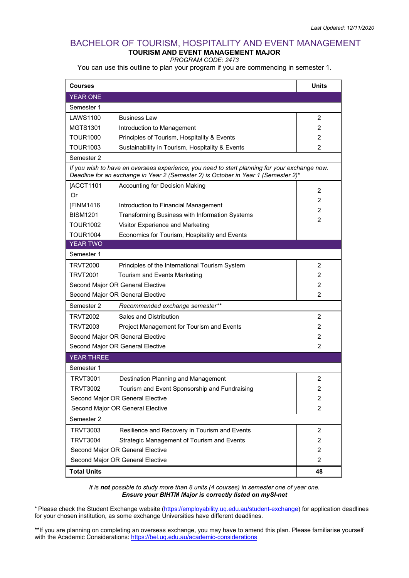#### BACHELOR OF TOURISM, HOSPITALITY AND EVENT MANAGEMENT **TOURISM AND EVENT MANAGEMENT MAJOR**

#### *PROGRAM CODE: 2473*

You can use this outline to plan your program if you are commencing in semester 1.

| <b>Courses</b>                                                                                                                                                                      |                                                 | <b>Units</b>   |  |  |
|-------------------------------------------------------------------------------------------------------------------------------------------------------------------------------------|-------------------------------------------------|----------------|--|--|
| <b>YEAR ONE</b>                                                                                                                                                                     |                                                 |                |  |  |
| Semester 1                                                                                                                                                                          |                                                 |                |  |  |
| LAWS1100                                                                                                                                                                            | <b>Business Law</b>                             | 2              |  |  |
| <b>MGTS1301</b>                                                                                                                                                                     | Introduction to Management                      | 2              |  |  |
| <b>TOUR1000</b>                                                                                                                                                                     | Principles of Tourism, Hospitality & Events     | 2              |  |  |
| TOUR1003                                                                                                                                                                            | Sustainability in Tourism, Hospitality & Events | 2              |  |  |
| Semester 2                                                                                                                                                                          |                                                 |                |  |  |
| If you wish to have an overseas experience, you need to start planning for your exchange now.<br>Deadline for an exchange in Year 2 (Semester 2) is October in Year 1 (Semester 2)* |                                                 |                |  |  |
| [ACCT1101                                                                                                                                                                           | Accounting for Decision Making                  | 2              |  |  |
| Or                                                                                                                                                                                  |                                                 | 2              |  |  |
| [FINM1416                                                                                                                                                                           | Introduction to Financial Management            | 2              |  |  |
| <b>BISM1201</b>                                                                                                                                                                     | Transforming Business with Information Systems  | 2              |  |  |
| <b>TOUR1002</b>                                                                                                                                                                     | Visitor Experience and Marketing                |                |  |  |
| <b>TOUR1004</b>                                                                                                                                                                     | Economics for Tourism, Hospitality and Events   |                |  |  |
| <b>YEAR TWO</b>                                                                                                                                                                     |                                                 |                |  |  |
| Semester 1                                                                                                                                                                          |                                                 |                |  |  |
| <b>TRVT2000</b>                                                                                                                                                                     | Principles of the International Tourism System  | 2              |  |  |
| <b>TRVT2001</b>                                                                                                                                                                     | <b>Tourism and Events Marketing</b>             | 2              |  |  |
| Second Major OR General Elective                                                                                                                                                    |                                                 | $\overline{2}$ |  |  |
| Second Major OR General Elective                                                                                                                                                    |                                                 | 2              |  |  |
| Semester 2                                                                                                                                                                          | Recommended exchange semester**                 |                |  |  |
| TRVT2002                                                                                                                                                                            | Sales and Distribution                          | 2              |  |  |
| <b>TRVT2003</b>                                                                                                                                                                     | Project Management for Tourism and Events       | 2              |  |  |
| Second Major OR General Elective                                                                                                                                                    |                                                 | $\overline{2}$ |  |  |
|                                                                                                                                                                                     | Second Major OR General Elective<br>2           |                |  |  |
| <b>YEAR THREE</b>                                                                                                                                                                   |                                                 |                |  |  |
| Semester 1                                                                                                                                                                          |                                                 |                |  |  |
| <b>TRVT3001</b>                                                                                                                                                                     | Destination Planning and Management             | $\overline{2}$ |  |  |
| <b>TRVT3002</b>                                                                                                                                                                     | Tourism and Event Sponsorship and Fundraising   | 2              |  |  |
| Second Major OR General Elective                                                                                                                                                    |                                                 | 2              |  |  |
| Second Major OR General Elective                                                                                                                                                    |                                                 | $\overline{2}$ |  |  |
| Semester 2                                                                                                                                                                          |                                                 |                |  |  |
| <b>TRVT3003</b>                                                                                                                                                                     | Resilience and Recovery in Tourism and Events   | $\overline{2}$ |  |  |
| <b>TRVT3004</b>                                                                                                                                                                     | Strategic Management of Tourism and Events      | 2              |  |  |
| Second Major OR General Elective                                                                                                                                                    |                                                 | $\overline{2}$ |  |  |
| Second Major OR General Elective                                                                                                                                                    | 2                                               |                |  |  |
| <b>Total Units</b>                                                                                                                                                                  | 48                                              |                |  |  |

*It is not possible to study more than 8 units (4 courses) in semester one of year one. Ensure your BIHTM Major is correctly listed on mySI-net*

\* Please check the Student Exchange website [\(https://employability.uq.edu.au/student-exchange\)](https://employability.uq.edu.au/student-exchange) for application deadlines for your chosen institution, as some exchange Universities have different deadlines.

\*\*If you are planning on completing an overseas exchange, you may have to amend this plan. Please familiarise yourself with the Academic Considerations:<https://bel.uq.edu.au/academic-considerations>